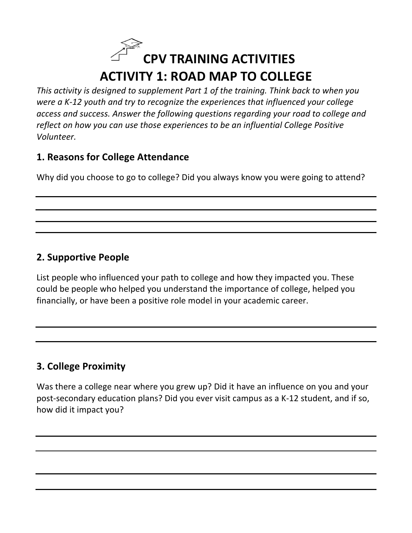## **CPV TRAINING ACTIVITIES ACTIVITY 1: ROAD MAP TO COLLEGE**

This activity is designed to supplement Part 1 of the training. Think back to when you *were a K-12 youth and try to recognize the experiences that influenced your college* access and success. Answer the following questions regarding your road to college and *reflect* on how you can use those experiences to be an influential College Positive *Volunteer.* 

### **1. Reasons for College Attendance**

Why did you choose to go to college? Did you always know you were going to attend?

## **2. Supportive People**

List people who influenced your path to college and how they impacted you. These could be people who helped you understand the importance of college, helped you financially, or have been a positive role model in your academic career.

## **3. College Proximity**

Was there a college near where you grew up? Did it have an influence on you and your post-secondary education plans? Did you ever visit campus as a K-12 student, and if so, how did it impact you?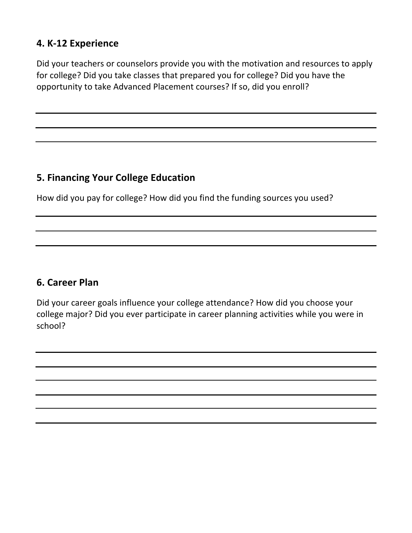### **4. K-12 Experience**

Did your teachers or counselors provide you with the motivation and resources to apply for college? Did you take classes that prepared you for college? Did you have the opportunity to take Advanced Placement courses? If so, did you enroll?

#### **5. Financing Your College Education**

How did you pay for college? How did you find the funding sources you used?

#### **6. Career Plan**

Did your career goals influence your college attendance? How did you choose your college major? Did you ever participate in career planning activities while you were in school?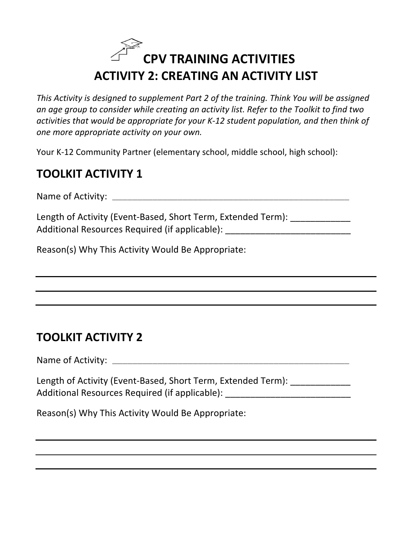## **CPV TRAINING ACTIVITIES ACTIVITY 2: CREATING AN ACTIVITY LIST**

This Activity is designed to supplement Part 2 of the training. Think You will be assigned an age group to consider while creating an activity list. Refer to the Toolkit to find two activities that would be appropriate for your K-12 student population, and then think of *one more appropriate activity on your own.* 

Your K-12 Community Partner (elementary school, middle school, high school):

## **TOOLKIT ACTIVITY 1**

Name of Activity: \_\_\_\_\_\_\_\_\_\_\_\_\_\_\_\_\_\_\_\_\_\_\_\_\_\_\_\_\_\_\_\_\_\_\_\_\_\_\_\_\_\_\_\_\_\_\_

Length of Activity (Event-Based, Short Term, Extended Term): \_\_\_\_\_\_\_\_\_\_\_\_\_\_ Additional Resources Required (if applicable):

Reason(s) Why This Activity Would Be Appropriate:

## **TOOLKIT ACTIVITY 2**

Name of Activity: \_\_\_\_\_\_\_\_\_\_\_\_\_\_\_\_\_\_\_\_\_\_\_\_\_\_\_\_\_\_\_\_\_\_\_\_\_\_\_\_\_\_\_\_\_\_\_

| Length of Activity (Event-Based, Short Term, Extended Term): |  |
|--------------------------------------------------------------|--|
| Additional Resources Required (if applicable):               |  |

Reason(s) Why This Activity Would Be Appropriate: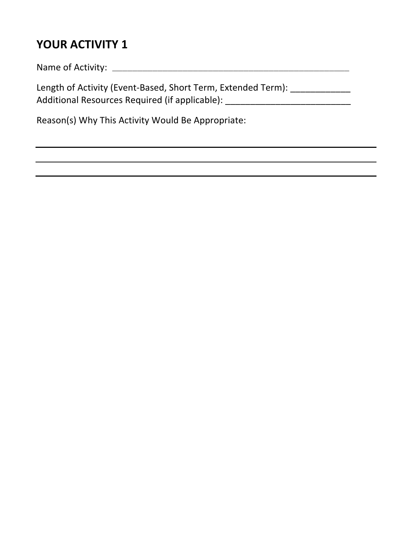## **YOUR ACTIVITY 1**

Name of Activity: \_\_\_\_\_\_\_\_\_\_\_\_\_\_\_\_\_\_\_\_\_\_\_\_\_\_\_\_\_\_\_\_\_\_\_\_\_\_\_\_\_\_\_\_\_\_\_

Length of Activity (Event-Based, Short Term, Extended Term): \_\_\_\_\_\_\_\_\_\_\_\_\_\_ Additional Resources Required (if applicable): \_\_\_\_\_\_\_\_\_\_\_\_\_\_\_\_\_\_\_\_\_\_\_\_\_\_\_\_\_\_\_\_\_

Reason(s) Why This Activity Would Be Appropriate: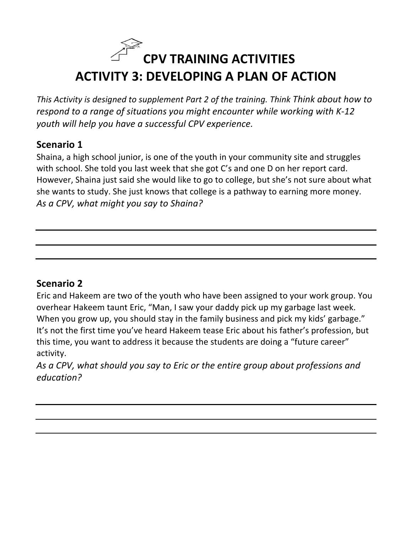## **CPV TRAINING ACTIVITIES ACTIVITY 3: DEVELOPING A PLAN OF ACTION**

*This* Activity is designed to supplement Part 2 of the training. Think Think about how to *respond to a range of situations you might encounter while working with K-12 youth will help you have a successful CPV experience.* 

### **Scenario 1**

Shaina, a high school junior, is one of the youth in your community site and struggles with school. She told you last week that she got C's and one D on her report card. However, Shaina just said she would like to go to college, but she's not sure about what she wants to study. She just knows that college is a pathway to earning more money. As a CPV, what might you say to Shaina?

## **Scenario 2**

Eric and Hakeem are two of the youth who have been assigned to your work group. You overhear Hakeem taunt Eric, "Man, I saw your daddy pick up my garbage last week. When you grow up, you should stay in the family business and pick my kids' garbage." It's not the first time you've heard Hakeem tease Eric about his father's profession, but this time, you want to address it because the students are doing a "future career" activity. 

As a CPV, what should you say to Eric or the entire group about professions and *education?*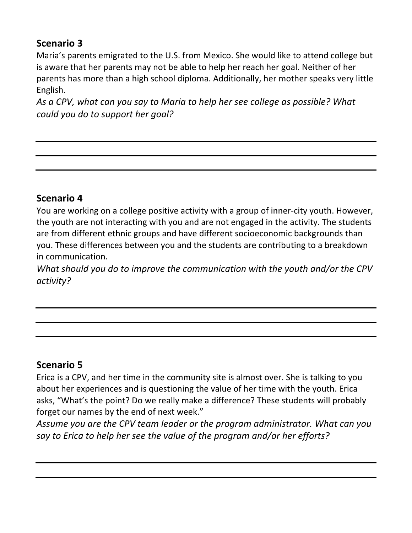## **Scenario 3**

Maria's parents emigrated to the U.S. from Mexico. She would like to attend college but is aware that her parents may not be able to help her reach her goal. Neither of her parents has more than a high school diploma. Additionally, her mother speaks very little English. 

As a CPV, what can you say to Maria to help her see college as possible? What *could you do to support her goal?* 

#### **Scenario 4**

You are working on a college positive activity with a group of inner-city youth. However, the youth are not interacting with you and are not engaged in the activity. The students are from different ethnic groups and have different socioeconomic backgrounds than you. These differences between you and the students are contributing to a breakdown in communication.

What should you do to improve the communication with the youth and/or the CPV *activity?* 

## **Scenario 5**

Erica is a CPV, and her time in the community site is almost over. She is talking to you about her experiences and is questioning the value of her time with the youth. Erica asks, "What's the point? Do we really make a difference? These students will probably forget our names by the end of next week."

Assume you are the CPV team leader or the program administrator. What can you say to Erica to help her see the value of the program and/or her efforts?